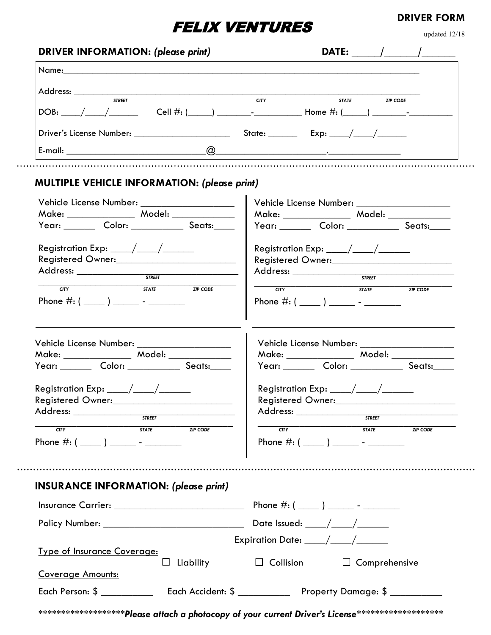## FELIX VENTURES

updated 12/18

**DRIVER FORM**

| <b>STREET</b>                                                                        | <b>CITY</b><br>STATE ZIP CODE                                                                        |
|--------------------------------------------------------------------------------------|------------------------------------------------------------------------------------------------------|
|                                                                                      | DOB: ____/____/______________Cell #: (_____) __________________Home #: (_____) _____________________ |
|                                                                                      |                                                                                                      |
|                                                                                      |                                                                                                      |
| MULTIPLE VEHICLE INFORMATION: (please print)                                         |                                                                                                      |
| Vehicle License Number: _____________________                                        |                                                                                                      |
|                                                                                      |                                                                                                      |
| Year: __________ Color: _______________ Seats:_____                                  | Year: Color: __________ Seats:____                                                                   |
| Registration Exp: $\_\_\_\_\_\_\_\_\_\_\_\_\_\_\_\_\_\_\_\_\_\_\_\_\_\_\_\_\_\_\_$   | Registration Exp: $\_\_\_\_\_\_\_\_\_\_\_\_\_\_\_\_\_\_\_\_\_\_\_\_\_\_\_\_\_\_\_\_$                 |
| Registered Owner:                                                                    |                                                                                                      |
|                                                                                      |                                                                                                      |
| STATE ZIP CODE<br>CTY                                                                | <b>STATE ZIP CODE</b><br>$rac{1}{\sqrt{1+\frac{1}{2}}}$                                              |
|                                                                                      |                                                                                                      |
| Vehicle License Number: ____________________                                         | Vehicle License Number: _____________________                                                        |
|                                                                                      |                                                                                                      |
| Year: _________ Color: _______________ Seats:_____                                   | Year: _________ Color: ______________ Seats:_____                                                    |
| Registration Exp: $\_\_\_\_\_\_\_\_\_\_\_\_\_\_\_\_\_\_\_\_\_\_\_\_\_\_\_\_\_\_\_\_$ | Registration Exp: $\_\_\_\_\_\_\_\_\_\_\_\_\_\_\_\_\_\_\_\_\_\_\_\_\_\_\_\_\_\_\_\_$                 |
| Registered Owner:                                                                    | <b>Registered Owner:</b>                                                                             |
|                                                                                      |                                                                                                      |
| STATE ZIP CODE                                                                       |                                                                                                      |
| <b>CITY</b>                                                                          | CTY<br>STATE<br><b>ZIP CODE</b>                                                                      |
|                                                                                      |                                                                                                      |
|                                                                                      |                                                                                                      |
|                                                                                      |                                                                                                      |
| <b>INSURANCE INFORMATION: (please print)</b>                                         |                                                                                                      |
|                                                                                      |                                                                                                      |
|                                                                                      |                                                                                                      |
|                                                                                      | Expiration Date: ____/____/____                                                                      |
| <b>Type of Insurance Coverage:</b><br>$\Box$ Liability<br><b>Coverage Amounts:</b>   | $\Box$ Collision<br>$\Box$ Comprehensive                                                             |

*\*\*\*\*\*\*\*\*\*\*\*\*\*\*\*\*\*\*\*Please attach a photocopy of your current Driver's License\*\*\*\*\*\*\*\*\*\*\*\*\*\*\*\*\*\*\**